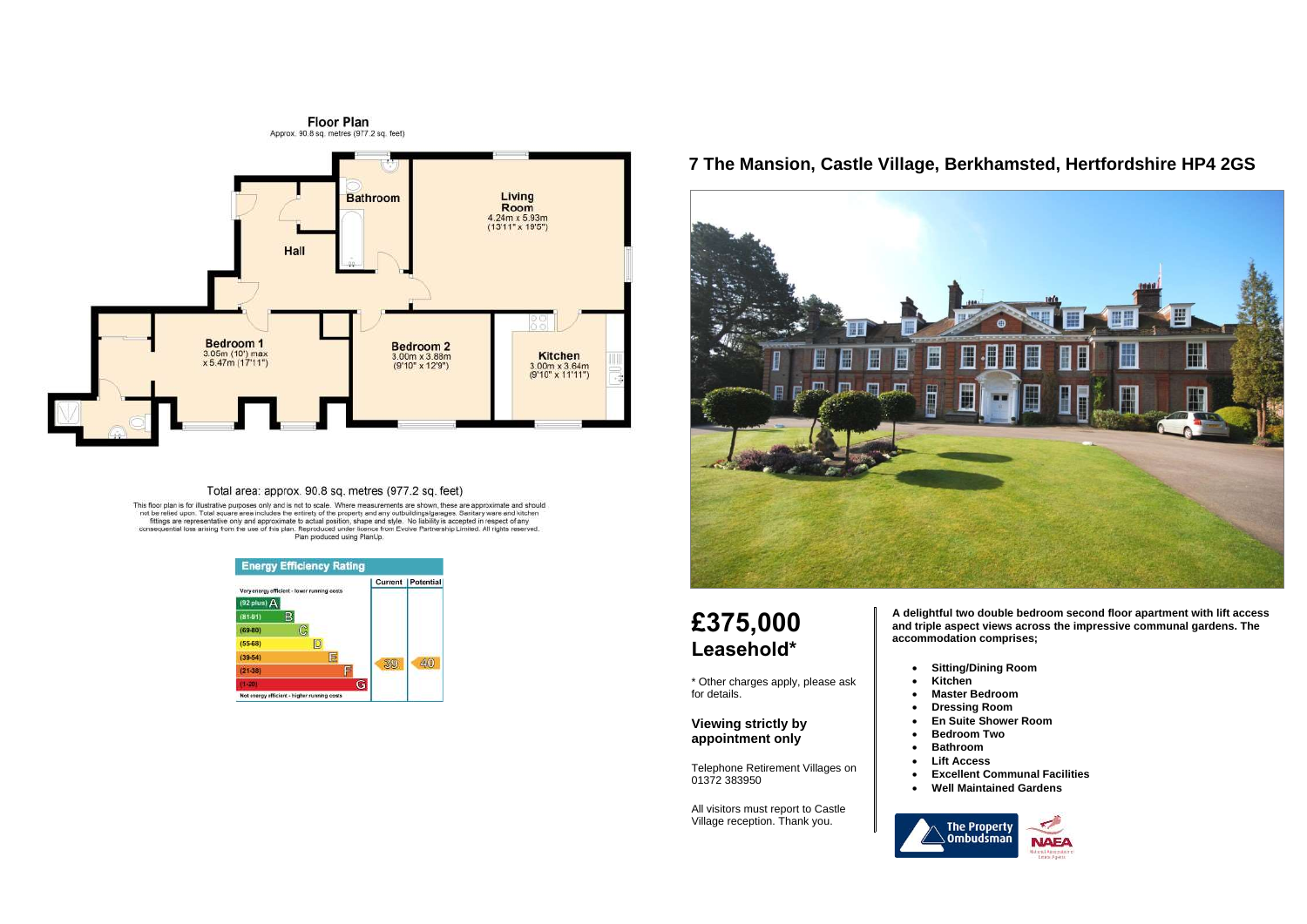

#### Total area: approx. 90.8 sq. metres (977.2 sq. feet)

This floor plan is for illustrative purposes only and is not to scale. Where measurements are shown, these are approximate and should<br>not be relied upon. Total square area includes the entirety of the property and any outb



### **7 The Mansion, Castle Village, Berkhamsted, Hertfordshire HP4 2GS**



# **£375,000 Leasehold\***

\* Other charges apply, please ask for details.

#### **Viewing strictly by appointment only**

Telephone Retirement Villages on 01372 383950

All visitors must report to Castle Village reception. Thank you.

**A delightful two double bedroom second floor apartment with lift access and triple aspect views across the impressive communal gardens. The accommodation comprises;**

- **Sitting/Dining Room**
- **Kitchen**
- **Master Bedroom**
- 
- 
- **Bedroom Two**
- **Bathroom**
- **Lift Access** 
	-



• **Dressing Room**  • **En Suite Shower Room** 

> • **Excellent Communal Facilities**  • **Well Maintained Gardens**